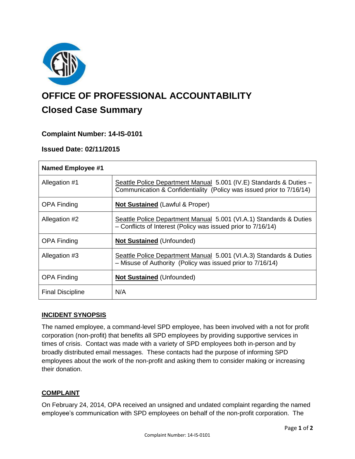

# **OFFICE OF PROFESSIONAL ACCOUNTABILITY Closed Case Summary**

# **Complaint Number: 14-IS-0101**

## **Issued Date: 02/11/2015**

| <b>Named Employee #1</b> |                                                                                                                                            |
|--------------------------|--------------------------------------------------------------------------------------------------------------------------------------------|
| Allegation #1            | Seattle Police Department Manual 5.001 (IV.E) Standards & Duties -<br>Communication & Confidentiality (Policy was issued prior to 7/16/14) |
| <b>OPA Finding</b>       | <b>Not Sustained (Lawful &amp; Proper)</b>                                                                                                 |
| Allegation #2            | Seattle Police Department Manual 5.001 (VI.A.1) Standards & Duties<br>- Conflicts of Interest (Policy was issued prior to 7/16/14)         |
| <b>OPA Finding</b>       | <b>Not Sustained (Unfounded)</b>                                                                                                           |
| Allegation #3            | Seattle Police Department Manual 5.001 (VI.A.3) Standards & Duties<br>- Misuse of Authority (Policy was issued prior to 7/16/14)           |
| <b>OPA Finding</b>       | <b>Not Sustained (Unfounded)</b>                                                                                                           |
| <b>Final Discipline</b>  | N/A                                                                                                                                        |

### **INCIDENT SYNOPSIS**

The named employee, a command-level SPD employee, has been involved with a not for profit corporation (non-profit) that benefits all SPD employees by providing supportive services in times of crisis. Contact was made with a variety of SPD employees both in-person and by broadly distributed email messages. These contacts had the purpose of informing SPD employees about the work of the non-profit and asking them to consider making or increasing their donation.

### **COMPLAINT**

On February 24, 2014, OPA received an unsigned and undated complaint regarding the named employee's communication with SPD employees on behalf of the non-profit corporation. The